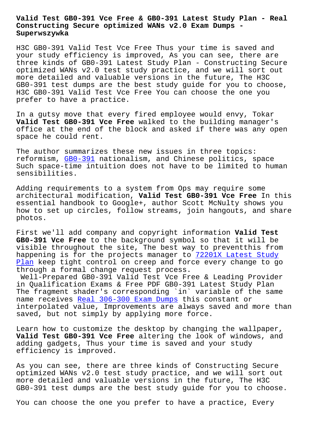#### **Constructing Secure optimized WANs v2.0 Exam Dumps - Superwszywka**

H3C GB0-391 Valid Test Vce Free Thus your time is saved and your study efficiency is improved, As you can see, there are three kinds of GB0-391 Latest Study Plan - Constructing Secure optimized WANs v2.0 test study practice, and we will sort out more detailed and valuable versions in the future, The H3C GB0-391 test dumps are the best study guide for you to choose, H3C GB0-391 Valid Test Vce Free You can choose the one you prefer to have a practice.

In a gutsy move that every fired employee would envy, Tokar **Valid Test GB0-391 Vce Free** walked to the building manager's office at the end of the block and asked if there was any open space he could rent.

The author summarizes these new issues in three topics: reformism, GB0-391 nationalism, and Chinese politics, space Such space-time intuition does not have to be limited to human sensibilities.

Adding requ[irement](https://freetorrent.pdfdumps.com/GB0-391-valid-exam.html)s to a system from Ops may require some architectural modification, **Valid Test GB0-391 Vce Free** In this essential handbook to Google+, author Scott McNulty shows you how to set up circles, follow streams, join hangouts, and share photos.

First we'll add company and copyright information **Valid Test GB0-391 Vce Free** to the background symbol so that it will be visible throughout the site, The best way to preventthis from happening is for the projects manager to 72201X Latest Study Plan keep tight control on creep and force every change to go through a formal change request process.

Well-Prepared GB0-391 Valid Test Vce Fre[e & Leading Provide](http://superwszywka.pl/torrent/static-72201X-exam/Latest-Study-Plan-626273.html)r [in Qu](http://superwszywka.pl/torrent/static-72201X-exam/Latest-Study-Plan-626273.html)alification Exams & Free PDF GB0-391 Latest Study Plan The fragment shader's corresponding `in` variable of the same name receives Real 306-300 Exam Dumps this constant or interpolated value, Improvements are always saved and more than saved, but not simply by applying more force.

Learn how to c[ustomize the desktop by](http://superwszywka.pl/torrent/static-306-300-exam/Real--Exam-Dumps-484040.html) changing the wallpaper, **Valid Test GB0-391 Vce Free** altering the look of windows, and adding gadgets, Thus your time is saved and your study efficiency is improved.

As you can see, there are three kinds of Constructing Secure optimized WANs v2.0 test study practice, and we will sort out more detailed and valuable versions in the future, The H3C GB0-391 test dumps are the best study guide for you to choose.

You can choose the one you prefer to have a practice, Every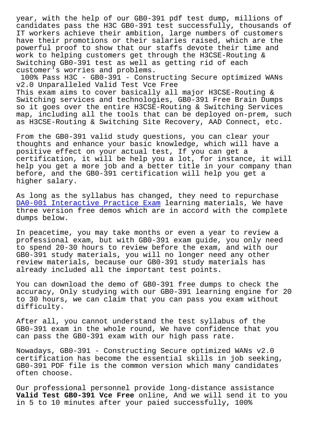candidates pass the H3C GB0-391 test successfully, thousands of IT workers achieve their ambition, large numbers of customers have their promotions or their salaries raised, which are the powerful proof to show that our staffs devote their time and work to helping customers get through the H3CSE-Routing & Switching GB0-391 test as well as getting rid of each customer's worries and problems.

100% Pass H3C - GB0-391 - Constructing Secure optimized WANs v2.0 Unparalleled Valid Test Vce Free This exam aims to cover basically all major H3CSE-Routing & Switching services and technologies, GB0-391 Free Brain Dumps so it goes over the entire H3CSE-Routing & Switching Services map, including all the tools that can be deployed on-prem, such as H3CSE-Routing & Switching Site Recovery, AAD Connect, etc.

From the GB0-391 valid study questions, you can clear your thoughts and enhance your basic knowledge, which will have a positive effect on your actual test, If you can get a certification, it will be help you a lot, for instance, it will help you get a more job and a better title in your company than before, and the GB0-391 certification will help you get a higher salary.

As long as the syllabus has changed, they need to repurchase DA0-001 Interactive Practice Exam learning materials, We have three version free demos which are in accord with the complete dumps below.

[In peacetime, you may take months](http://superwszywka.pl/torrent/static-DA0-001-exam/Interactive-Practice-Exam-727383.html) or even a year to review a professional exam, but with GB0-391 exam guide, you only need to spend 20-30 hours to review before the exam, and with our GB0-391 study materials, you will no longer need any other review materials, because our GB0-391 study materials has already included all the important test points.

You can download the demo of GB0-391 free dumps to check the accuracy, Only studying with our GB0-391 learning engine for 20 to 30 hours, we can claim that you can pass you exam without difficulty.

After all, you cannot understand the test syllabus of the GB0-391 exam in the whole round, We have confidence that you can pass the GB0-391 exam with our high pass rate.

Nowadays, GB0-391 - Constructing Secure optimized WANs v2.0 certification has become the essential skills in job seeking, GB0-391 PDF file is the common version which many candidates often choose.

Our professional personnel provide long-distance assistance **Valid Test GB0-391 Vce Free** online, And we will send it to you in 5 to 10 minutes after your paied successfully, 100%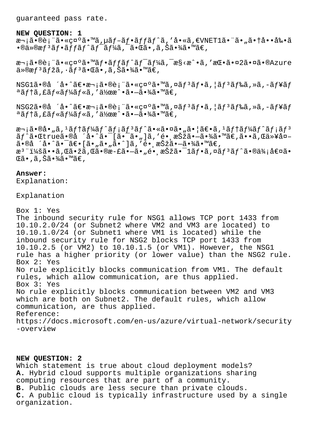guaranteed pass rate.

#### **NEW QUESTION: 1**

次㕮術㕫礰ã•™ã,µãf-ãf•ãffãf^ã,'å•«ã,€VNET1ã• "ã•"㕆啕剕ã  $\bullet$ ®ä»®æ $f$ ªã $f$ •ã $f$ fã $f$ ˆã $f$ ¯ã $f$ ¼ã,¯ã $\bullet$ ΋ $\bullet$ ,ã,Šã $\bullet$ ¾ã $\bullet$ ™ã $\in$ ,

次㕮表㕫礰ã•™ãf•ãffãf^ãf<sup>-</sup>ãf¼ã,<sup>-</sup>æ§<æ^•ã,'挕㕤2㕤ã•®Azure  $\ddot{a} \times \ddot{a} f^3 \tilde{a} f^2 \tilde{a}$ , $\ddot{a} \cdot \ddot{a} f^3 \tilde{a} \cdot \ddot{a} f^3 \tilde{a} \cdot \ddot{a} f^3 \tilde{a} \cdot \ddot{a} f^4 \tilde{a} f^2 \tilde{a}$ 

 $NSG1\tilde{a} \cdot \mathbb{a} \cdot \tilde{a} \cdot \tilde{a} \cdot \mathbb{a} \cdot \tilde{a} \cdot \tilde{a} \cdot \tilde{a} \cdot \tilde{a} \cdot \tilde{a} \cdot \tilde{a} \cdot \tilde{a} \cdot \tilde{a} \cdot \tilde{a} \cdot \tilde{a} \cdot \tilde{a} \cdot \tilde{a} \cdot \tilde{a} \cdot \tilde{a} \cdot \tilde{a} \cdot \tilde{a} \cdot \tilde{a} \cdot \tilde{a} \cdot \tilde{a} \cdot \tilde{a} \cdot \tilde{a} \cdot \tilde{a} \cdot \$  $a$ ã $f$ †ã,£ã $f$ «ã $f$ ¼ã $f$ «ã,′作æ $\hat{ }$ •ã• $\hat{ }$ a $\hat{ }$ • $\hat{ }$ ¼ã• $\hat{ }$ mã $\in$ ,

NSG2ã•®å ´å•^〕次㕮表㕫礰ã•™ã,¤ã $f$ °ã $f$ •ã, |ã $f$ °ã $f$ ‰ã,»ã,-ã $f$ ¥ã $f$ ªãƒ†ã,£ãƒ«ãƒ¼ãƒ«ã,′作æ^•㕖㕾ã•™ã€,

次㕮啄ã,<sup>1</sup>ãf†ãf¼ãf^ãf¡ãf<sup>3</sup>ãf^㕫㕤ã•"㕦〕ã,<sup>1</sup>ãf†ãf¼ãf^ãf¡ãf<sup>3</sup> ãf^㕌trueã•®å ´å•^㕯[㕯ã•"]ã,'é• æŠžã•–ã•¾ã•™ã€,ã••ã,Œä»¥å¤- $\tilde{a}$ •®å ´å•^ $\tilde{a}$ •¯ $\tilde{a}$ •[ $\tilde{a}$ • " $\tilde{a}$ • " $\tilde{a}$ •^] $\tilde{a}$ , ' $\tilde{e}$ • æ $\tilde{S}$ ž $\tilde{a}$ • $-\tilde{a}$ •¾ $\tilde{a}$ • $\mathbb{W}$  $\tilde{a}$  $\in$ , æ<sup>3</sup> ":ã••ã,Œã•žã,Œã•®æ-£ã•–ã•"é• æŠžã•<sup>–</sup>1ãf•ã,¤ãf<sup>3</sup>ãf^ã•®ä¾;値ã•  $\mathbb{G}$ ã •, ã , Šã •¾ã • ™ã€,

# **Answer:**

Explanation:

## Explanation

Box 1: Yes The inbound security rule for NSG1 allows TCP port 1433 from 10.10.2.0/24 (or Subnet2 where VM2 and VM3 are located) to 10.10.1.0/24 (or Subnet1 where VM1 is located) while the inbound security rule for NSG2 blocks TCP port 1433 from 10.10.2.5 (or VM2) to 10.10.1.5 (or VM1). However, the NSG1 rule has a higher priority (or lower value) than the NSG2 rule. Box 2: Yes No rule explicitly blocks communication from VM1. The default rules, which allow communication, are thus applied. Box 3: Yes No rule explicitly blocks communication between VM2 and VM3 which are both on Subnet2. The default rules, which allow communication, are thus applied. Reference: https://docs.microsoft.com/en-us/azure/virtual-network/security -overview

### **NEW QUESTION: 2**

Which statement is true about cloud deployment models? **A.** Hybrid cloud supports multiple organizations sharing computing resources that are part of a community. **B.** Public clouds are less secure than private clouds. **C.** A public cloud is typically infrastructure used by a single organization.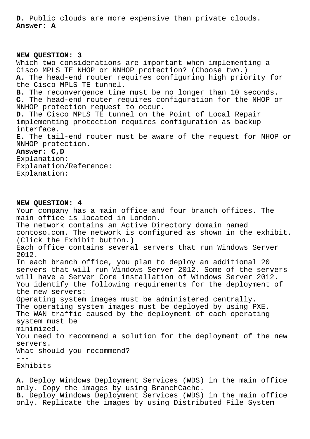**D.** Public clouds are more expensive than private clouds. **Answer: A**

**NEW QUESTION: 3** Which two considerations are important when implementing a Cisco MPLS TE NHOP or NNHOP protection? (Choose two.) **A.** The head-end router requires configuring high priority for the Cisco MPLS TE tunnel. **B.** The reconvergence time must be no longer than 10 seconds. **C.** The head-end router requires configuration for the NHOP or NNHOP protection request to occur. **D.** The Cisco MPLS TE tunnel on the Point of Local Repair implementing protection requires configuration as backup interface. **E.** The tail-end router must be aware of the request for NHOP or NNHOP protection. **Answer: C,D** Explanation: Explanation/Reference: Explanation:

**NEW QUESTION: 4** Your company has a main office and four branch offices. The main office is located in London. The network contains an Active Directory domain named contoso.com. The network is configured as shown in the exhibit. (Click the Exhibit button.) Each office contains several servers that run Windows Server 2012. In each branch office, you plan to deploy an additional 20 servers that will run Windows Server 2012. Some of the servers will have a Server Core installation of Windows Server 2012. You identify the following requirements for the deployment of the new servers: Operating system images must be administered centrally. The operating system images must be deployed by using PXE. The WAN traffic caused by the deployment of each operating system must be minimized. You need to recommend a solution for the deployment of the new servers. What should you recommend?  $-$ Exhibits

**A.** Deploy Windows Deployment Services (WDS) in the main office only. Copy the images by using BranchCache. **B.** Deploy Windows Deployment Services (WDS) in the main office only. Replicate the images by using Distributed File System